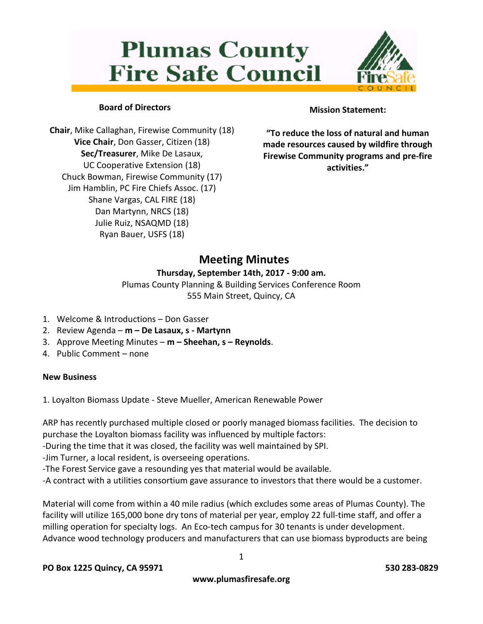# **Plumas County Fire Safe Council**



# **Board of Directors**

**Chair**, Mike Callaghan, Firewise Community (18) **Vice Chair**, Don Gasser, Citizen (18) **Sec/Treasurer**, Mike De Lasaux, UC Cooperative Extension (18) Chuck Bowman, Firewise Community (17) Jim Hamblin, PC Fire Chiefs Assoc. (17) Shane Vargas, CAL FIRE (18) Dan Martynn, NRCS (18) Julie Ruiz, NSAQMD (18) Ryan Bauer, USFS (18)

# **Mission Statement:**

**"To reduce the loss of natural and human made resources caused by wildfire through Firewise Community programs and pre-fire activities."**

# **Meeting Minutes**

# **Thursday, September 14th, 2017 - 9:00 am.**

Plumas County Planning & Building Services Conference Room 555 Main Street, Quincy, CA

- 1. Welcome & Introductions Don Gasser
- 2. Review Agenda **m – De Lasaux, s - Martynn**
- 3. Approve Meeting Minutes **m – Sheehan, s – Reynolds**.
- 4. Public Comment none

# **New Business**

1. Loyalton Biomass Update - Steve Mueller, American Renewable Power

ARP has recently purchased multiple closed or poorly managed biomass facilities. The decision to purchase the Loyalton biomass facility was influenced by multiple factors:

-During the time that it was closed, the facility was well maintained by SPI.

-Jim Turner, a local resident, is overseeing operations.

-The Forest Service gave a resounding yes that material would be available.

-A contract with a utilities consortium gave assurance to investors that there would be a customer.

Material will come from within a 40 mile radius (which excludes some areas of Plumas County). The facility will utilize 165,000 bone dry tons of material per year, employ 22 full-time staff, and offer a milling operation for specialty logs. An Eco-tech campus for 30 tenants is under development. Advance wood technology producers and manufacturers that can use biomass byproducts are being

1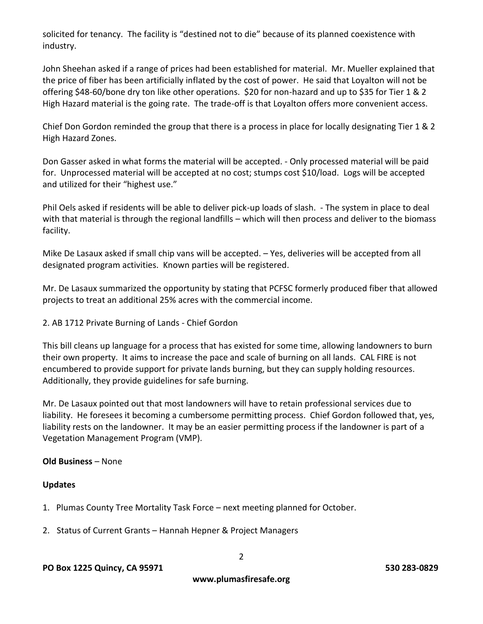solicited for tenancy. The facility is "destined not to die" because of its planned coexistence with industry.

John Sheehan asked if a range of prices had been established for material. Mr. Mueller explained that the price of fiber has been artificially inflated by the cost of power. He said that Loyalton will not be offering \$48-60/bone dry ton like other operations. \$20 for non-hazard and up to \$35 for Tier 1 & 2 High Hazard material is the going rate. The trade-off is that Loyalton offers more convenient access.

Chief Don Gordon reminded the group that there is a process in place for locally designating Tier 1 & 2 High Hazard Zones.

Don Gasser asked in what forms the material will be accepted. - Only processed material will be paid for. Unprocessed material will be accepted at no cost; stumps cost \$10/load. Logs will be accepted and utilized for their "highest use."

Phil Oels asked if residents will be able to deliver pick-up loads of slash. - The system in place to deal with that material is through the regional landfills – which will then process and deliver to the biomass facility.

Mike De Lasaux asked if small chip vans will be accepted. – Yes, deliveries will be accepted from all designated program activities. Known parties will be registered.

Mr. De Lasaux summarized the opportunity by stating that PCFSC formerly produced fiber that allowed projects to treat an additional 25% acres with the commercial income.

2. AB 1712 Private Burning of Lands - Chief Gordon

This bill cleans up language for a process that has existed for some time, allowing landowners to burn their own property. It aims to increase the pace and scale of burning on all lands. CAL FIRE is not encumbered to provide support for private lands burning, but they can supply holding resources. Additionally, they provide guidelines for safe burning.

Mr. De Lasaux pointed out that most landowners will have to retain professional services due to liability. He foresees it becoming a cumbersome permitting process. Chief Gordon followed that, yes, liability rests on the landowner. It may be an easier permitting process if the landowner is part of a Vegetation Management Program (VMP).

# **Old Business** – None

#### **Updates**

- 1. Plumas County Tree Mortality Task Force next meeting planned for October.
- 2. Status of Current Grants Hannah Hepner & Project Managers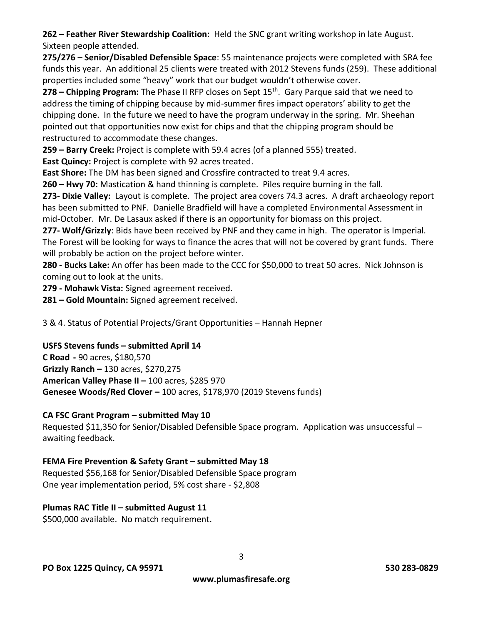**262 – Feather River Stewardship Coalition:** Held the SNC grant writing workshop in late August. Sixteen people attended.

**275/276 – Senior/Disabled Defensible Space**: 55 maintenance projects were completed with SRA fee funds this year. An additional 25 clients were treated with 2012 Stevens funds (259). These additional properties included some "heavy" work that our budget wouldn't otherwise cover.

**278 – Chipping Program:** The Phase II RFP closes on Sept 15th. Gary Parque said that we need to address the timing of chipping because by mid-summer fires impact operators' ability to get the chipping done. In the future we need to have the program underway in the spring. Mr. Sheehan pointed out that opportunities now exist for chips and that the chipping program should be restructured to accommodate these changes.

**259 – Barry Creek:** Project is complete with 59.4 acres (of a planned 555) treated.

**East Quincy:** Project is complete with 92 acres treated.

**East Shore:** The DM has been signed and Crossfire contracted to treat 9.4 acres.

**260 – Hwy 70:** Mastication & hand thinning is complete. Piles require burning in the fall.

**273- Dixie Valley:** Layout is complete. The project area covers 74.3 acres. A draft archaeology report has been submitted to PNF. Danielle Bradfield will have a completed Environmental Assessment in mid-October. Mr. De Lasaux asked if there is an opportunity for biomass on this project.

**277- Wolf/Grizzly**: Bids have been received by PNF and they came in high. The operator is Imperial. The Forest will be looking for ways to finance the acres that will not be covered by grant funds. There will probably be action on the project before winter.

**280 - Bucks Lake:** An offer has been made to the CCC for \$50,000 to treat 50 acres. Nick Johnson is coming out to look at the units.

**279 - Mohawk Vista:** Signed agreement received.

**281 – Gold Mountain:** Signed agreement received.

3 & 4. Status of Potential Projects/Grant Opportunities – Hannah Hepner

# **USFS Stevens funds – submitted April 14**

**C Road -** 90 acres, \$180,570 **Grizzly Ranch –** 130 acres, \$270,275 **American Valley Phase II –** 100 acres, \$285 970 **Genesee Woods/Red Clover –** 100 acres, \$178,970 (2019 Stevens funds)

# **CA FSC Grant Program – submitted May 10**

Requested \$11,350 for Senior/Disabled Defensible Space program. Application was unsuccessful – awaiting feedback.

# **FEMA Fire Prevention & Safety Grant – submitted May 18**

Requested \$56,168 for Senior/Disabled Defensible Space program One year implementation period, 5% cost share - \$2,808

# **Plumas RAC Title II – submitted August 11**

\$500,000 available. No match requirement.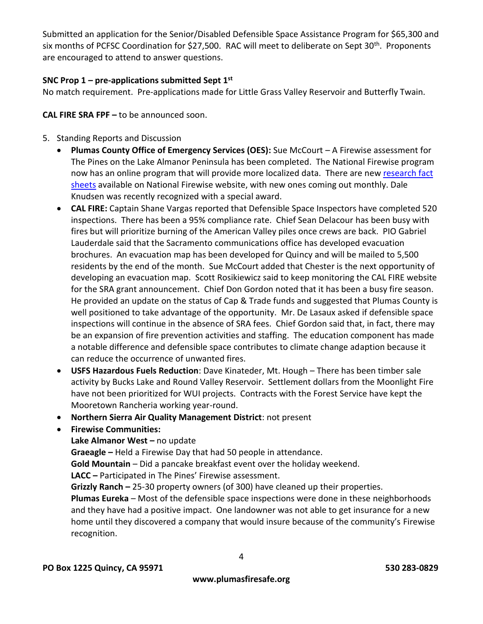Submitted an application for the Senior/Disabled Defensible Space Assistance Program for \$65,300 and six months of PCFSC Coordination for \$27,500. RAC will meet to deliberate on Sept 30<sup>th</sup>. Proponents are encouraged to attend to answer questions.

#### **SNC Prop 1 – pre-applications submitted Sept 1st**

No match requirement. Pre-applications made for Little Grass Valley Reservoir and Butterfly Twain.

**CAL FIRE SRA FPF –** to be announced soon.

- 5. Standing Reports and Discussion
	- **Plumas County Office of Emergency Services (OES):** Sue McCourt A Firewise assessment for The Pines on the Lake Almanor Peninsula has been completed. The National Firewise program now has an online program that will provide more localized data. There are new research fact [sheets](http://firewise.org/wildfire-preparedness/teaching-tools.aspx) available on National Firewise website, with new ones coming out monthly. Dale Knudsen was recently recognized with a special award.
	- **CAL FIRE:** Captain Shane Vargas reported that Defensible Space Inspectors have completed 520 inspections. There has been a 95% compliance rate. Chief Sean Delacour has been busy with fires but will prioritize burning of the American Valley piles once crews are back. PIO Gabriel Lauderdale said that the Sacramento communications office has developed evacuation brochures. An evacuation map has been developed for Quincy and will be mailed to 5,500 residents by the end of the month. Sue McCourt added that Chester is the next opportunity of developing an evacuation map. Scott Rosikiewicz said to keep monitoring the CAL FIRE website for the SRA grant announcement. Chief Don Gordon noted that it has been a busy fire season. He provided an update on the status of Cap & Trade funds and suggested that Plumas County is well positioned to take advantage of the opportunity. Mr. De Lasaux asked if defensible space inspections will continue in the absence of SRA fees. Chief Gordon said that, in fact, there may be an expansion of fire prevention activities and staffing. The education component has made a notable difference and defensible space contributes to climate change adaption because it can reduce the occurrence of unwanted fires.
	- **USFS Hazardous Fuels Reduction**: Dave Kinateder, Mt. Hough There has been timber sale activity by Bucks Lake and Round Valley Reservoir. Settlement dollars from the Moonlight Fire have not been prioritized for WUI projects. Contracts with the Forest Service have kept the Mooretown Rancheria working year-round.
	- **Northern Sierra Air Quality Management District**: not present
	- **Firewise Communities:**
		- **Lake Almanor West –** no update

**Graeagle –** Held a Firewise Day that had 50 people in attendance.

**Gold Mountain** – Did a pancake breakfast event over the holiday weekend.

**LACC –** Participated in The Pines' Firewise assessment.

**Grizzly Ranch –** 25-30 property owners (of 300) have cleaned up their properties.

**Plumas Eureka** – Most of the defensible space inspections were done in these neighborhoods and they have had a positive impact. One landowner was not able to get insurance for a new home until they discovered a company that would insure because of the community's Firewise recognition.

4